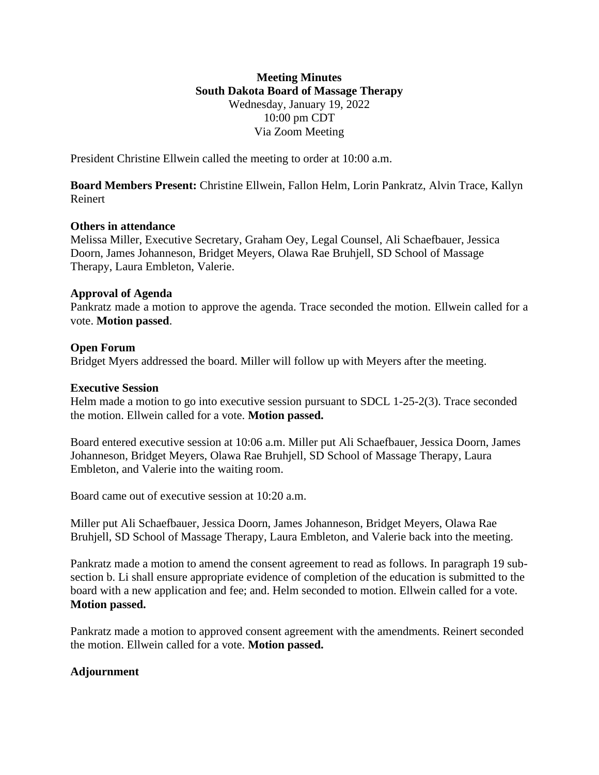# **Meeting Minutes South Dakota Board of Massage Therapy** Wednesday, January 19, 2022 10:00 pm CDT Via Zoom Meeting

President Christine Ellwein called the meeting to order at 10:00 a.m.

**Board Members Present:** Christine Ellwein, Fallon Helm, Lorin Pankratz, Alvin Trace, Kallyn Reinert

## **Others in attendance**

Melissa Miller, Executive Secretary, Graham Oey, Legal Counsel, Ali Schaefbauer, Jessica Doorn, James Johanneson, Bridget Meyers, Olawa Rae Bruhjell, SD School of Massage Therapy, Laura Embleton, Valerie.

#### **Approval of Agenda**

Pankratz made a motion to approve the agenda. Trace seconded the motion. Ellwein called for a vote. **Motion passed**.

## **Open Forum**

Bridget Myers addressed the board. Miller will follow up with Meyers after the meeting.

#### **Executive Session**

Helm made a motion to go into executive session pursuant to SDCL 1-25-2(3). Trace seconded the motion. Ellwein called for a vote. **Motion passed.**

Board entered executive session at 10:06 a.m. Miller put Ali Schaefbauer, Jessica Doorn, James Johanneson, Bridget Meyers, Olawa Rae Bruhjell, SD School of Massage Therapy, Laura Embleton, and Valerie into the waiting room.

Board came out of executive session at 10:20 a.m.

Miller put Ali Schaefbauer, Jessica Doorn, James Johanneson, Bridget Meyers, Olawa Rae Bruhjell, SD School of Massage Therapy, Laura Embleton, and Valerie back into the meeting.

Pankratz made a motion to amend the consent agreement to read as follows. In paragraph 19 subsection b. Li shall ensure appropriate evidence of completion of the education is submitted to the board with a new application and fee; and. Helm seconded to motion. Ellwein called for a vote. **Motion passed.**

Pankratz made a motion to approved consent agreement with the amendments. Reinert seconded the motion. Ellwein called for a vote. **Motion passed.**

## **Adjournment**